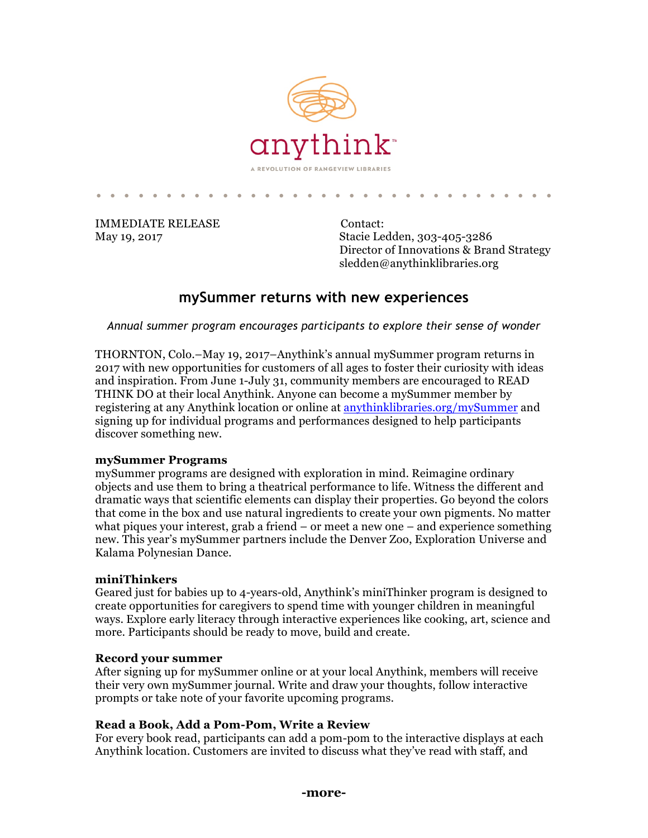

IMMEDIATE RELEASE Contact:

May 19, 2017 Stacie Ledden, 303-405-3286 Director of Innovations & Brand Strategy sledden@anythinklibraries.org

# **mySummer returns with new experiences**

*Annual summer program encourages participants to explore their sense of wonder*

THORNTON, Colo.–May 19, 2017–Anythink's annual mySummer program returns in 2017 with new opportunities for customers of all ages to foster their curiosity with ideas and inspiration. From June 1-July 31, community members are encouraged to READ THINK DO at their local Anythink. Anyone can become a mySummer member by registering at any Anythink location or online at [anythinklibraries.org/mySummer](https://www.anythinklibraries.org/mysummer) and signing up for individual programs and performances designed to help participants discover something new.

#### **mySummer Programs**

mySummer programs are designed with exploration in mind. Reimagine ordinary objects and use them to bring a theatrical performance to life. Witness the different and dramatic ways that scientific elements can display their properties. Go beyond the colors that come in the box and use natural ingredients to create your own pigments. No matter what piques your interest, grab a friend  $-$  or meet a new one  $-$  and experience something new. This year's mySummer partners include the Denver Zoo, Exploration Universe and Kalama Polynesian Dance.

## **miniThinkers**

Geared just for babies up to 4-years-old, Anythink's miniThinker program is designed to create opportunities for caregivers to spend time with younger children in meaningful ways. Explore early literacy through interactive experiences like cooking, art, science and more. Participants should be ready to move, build and create.

#### **Record your summer**

After signing up for mySummer online or at your local Anythink, members will receive their very own mySummer journal. Write and draw your thoughts, follow interactive prompts or take note of your favorite upcoming programs.

## **Read a Book, Add a Pom-Pom, Write a Review**

For every book read, participants can add a pom-pom to the interactive displays at each Anythink location. Customers are invited to discuss what they've read with staff, and